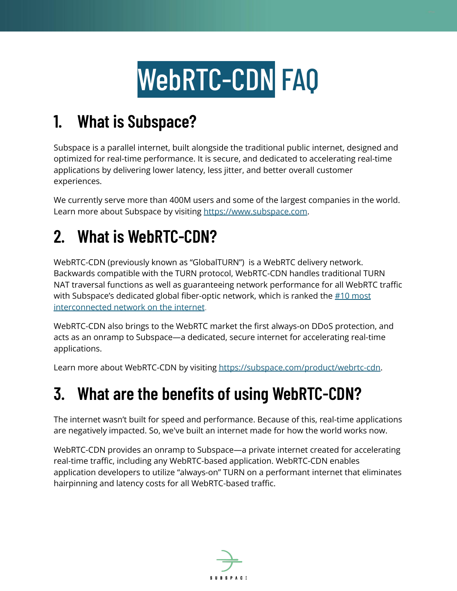# WebRTC-CDN FAQ

# **1. What is Subspace?**

Subspace is a parallel internet, built alongside the traditional public internet, designed and optimized for real-time performance. It is secure, and dedicated to accelerating real-time applications by delivering lower latency, less jitter, and better overall customer experiences.

We currently serve more than 400M users and some of the largest companies in the world. Learn more about Subspace by visiting [https://www.subspace.com.](https://www.subspace.com)

# **2. What is WebRTC-CDN?**

WebRTC-CDN (previously known as "GlobalTURN") is a WebRTC delivery network. Backwards compatible with the TURN protocol, WebRTC-CDN handles traditional TURN NAT traversal functions as well as guaranteeing network performance for all WebRTC traffic with Subspace's dedicated global fiber-optic network, which is ranked the #10 [most](https://bgp.he.net/report/exchanges#_participants) [interconnected](https://bgp.he.net/report/exchanges#_participants) network on the internet.

WebRTC-CDN also brings to the WebRTC market the first always-on DDoS protection, and acts as an onramp to Subspace—a dedicated, secure internet for accelerating real-time applications.

Learn more about WebRTC-CDN by visiting [https://subspace.com/product/webrtc-cdn.](https://subspace.com/product/webrtc-cdn)

## **3. What are the benefits of using WebRTC-CDN?**

The internet wasn't built for speed and performance. Because of this, real-time applications are negatively impacted. So, we've built an internet made for how the world works now.

WebRTC-CDN provides an onramp to Subspace—a private internet created for accelerating real-time traffic, including any WebRTC-based application. WebRTC-CDN enables application developers to utilize "always-on" TURN on a performant internet that eliminates hairpinning and latency costs for all WebRTC-based traffic.

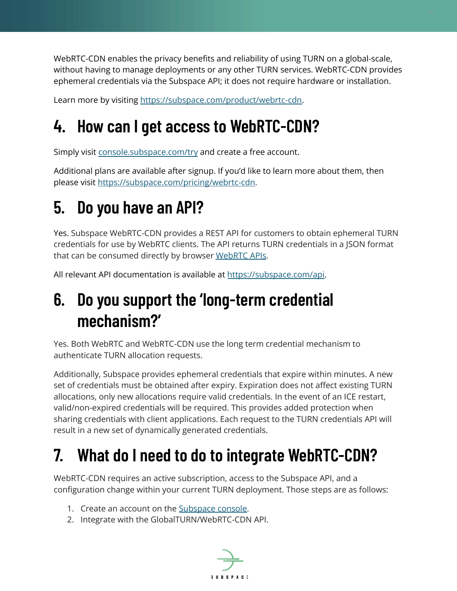WebRTC-CDN enables the privacy benefits and reliability of using TURN on a global-scale, without having to manage deployments or any other TURN services. WebRTC-CDN provides ephemeral credentials via the Subspace API; it does not require hardware or installation.

Learn more by visiting [https://subspace.com/product/webrtc-cdn.](https://subspace.com/product/webrtc-cdn)

# **4. How can I get access to WebRTC-CDN?**

Simply visit [console.subspace.com/try](https://console.subspace.com/try) and create a free account.

Additional plans are available after signup. If you'd like to learn more about them, then please visit [https://subspace.com/pricing/webrtc-cdn.](https://subspace.com/pricing/webrtc-cdn)

# **5. Do you have an API?**

Yes. Subspace WebRTC-CDN provides a REST API for customers to obtain ephemeral TURN credentials for use by WebRTC clients. The API returns TURN credentials in a JSON format that can be consumed directly by browser [WebRTC](https://www.w3.org/TR/webrtc/#rtciceserver-dictionary) APIs.

All relevant API documentation is available at [https://subspace.com/api.](https://subspace.com/api)

## **6. Do you support the 'long-term credential mechanism?'**

Yes. Both WebRTC and WebRTC-CDN use the long term credential mechanism to authenticate TURN allocation requests.

Additionally, Subspace provides ephemeral credentials that expire within minutes. A new set of credentials must be obtained after expiry. Expiration does not affect existing TURN allocations, only new allocations require valid credentials. In the event of an ICE restart, valid/non-expired credentials will be required. This provides added protection when sharing credentials with client applications. Each request to the TURN credentials API will result in a new set of dynamically generated credentials.

# **7. What do I need to do to integrate WebRTC-CDN?**

WebRTC-CDN requires an active subscription, access to the Subspace API, and a configuration change within your current TURN deployment. Those steps are as follows:

- 1. Create an account on the [Subspace](https://console.subspace.com/try) console.
- 2. Integrate with the GlobalTURN/WebRTC-CDN API.

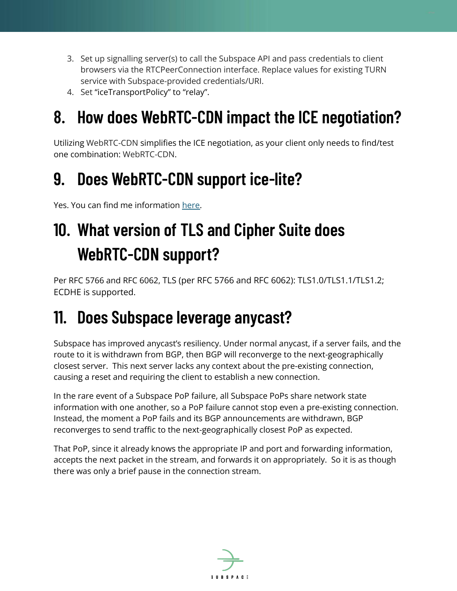- 3. Set up signalling server(s) to call the Subspace API and pass credentials to client browsers via the RTCPeerConnection interface. Replace values for existing TURN service with Subspace-provided credentials/URI.
- 4. Set "iceTransportPolicy" to "relay".

## **8. How does WebRTC-CDN impact the ICE negotiation?**

Utilizing WebRTC-CDN simplifies the ICE negotiation, as your client only needs to find/test one combination: WebRTC-CDN.

#### **9. Does WebRTC-CDN support ice-lite?**

Yes. You can find me information [here.](https://www.datocms-assets.com/41207/1642196268-ice-lite-support.pdf)

# **10. What version of TLS and Cipher Suite does WebRTC-CDN support?**

Per RFC 5766 and RFC 6062, TLS (per RFC 5766 and RFC 6062): TLS1.0/TLS1.1/TLS1.2; ECDHE is supported.

#### **11. Does Subspace leverage anycast?**

Subspace has improved anycast's resiliency. Under normal anycast, if a server fails, and the route to it is withdrawn from BGP, then BGP will reconverge to the next-geographically closest server. This next server lacks any context about the pre-existing connection, causing a reset and requiring the client to establish a new connection.

In the rare event of a Subspace PoP failure, all Subspace PoPs share network state information with one another, so a PoP failure cannot stop even a pre-existing connection. Instead, the moment a PoP fails and its BGP announcements are withdrawn, BGP reconverges to send traffic to the next-geographically closest PoP as expected.

That PoP, since it already knows the appropriate IP and port and forwarding information, accepts the next packet in the stream, and forwards it on appropriately. So it is as though there was only a brief pause in the connection stream.

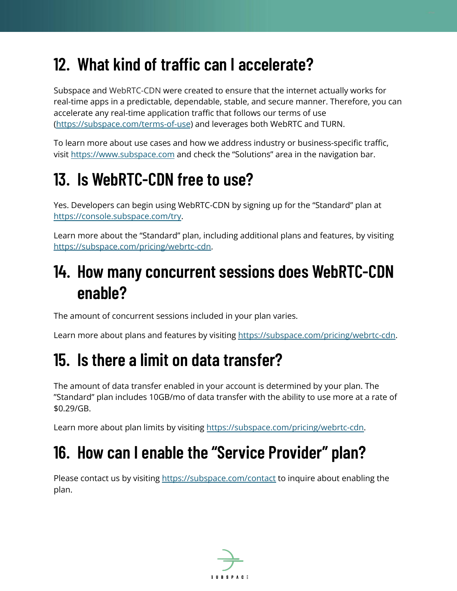#### **12. What kind of traffic can I accelerate?**

Subspace and WebRTC-CDN were created to ensure that the internet actually works for real-time apps in a predictable, dependable, stable, and secure manner. Therefore, you can accelerate any real-time application traffic that follows our terms of use [\(https://subspace.com/terms-of-use](https://subspace.com/terms-of-use)) and leverages both WebRTC and TURN.

To learn more about use cases and how we address industry or business-specific traffic, visit <https://www.subspace.com> and check the "Solutions" area in the navigation bar.

## **13. Is WebRTC-CDN free to use?**

Yes. Developers can begin using WebRTC-CDN by signing up for the "Standard" plan at [https://console.subspace.com/try.](https://console.subspace.com/try)

Learn more about the "Standard" plan, including additional plans and features, by visiting [https://subspace.com/pricing/webrtc-cdn.](https://subspace.com/pricing/webrtc-cdn)

#### **14. How many concurrent sessions does WebRTC-CDN enable?**

The amount of concurrent sessions included in your plan varies.

Learn more about plans and features by visiting <https://subspace.com/pricing/webrtc-cdn>.

## **15. Is there a limit on data transfer?**

The amount of data transfer enabled in your account is determined by your plan. The "Standard" plan includes 10GB/mo of data transfer with the ability to use more at a rate of \$0.29/GB.

Learn more about plan limits by visiting [https://subspace.com/pricing/webrtc-cdn.](https://subspace.com/pricing/webrtc-cdn)

## **16. How can I enable the "Service Provider" plan?**

Please contact us by visiting <https://subspace.com/contact> to inquire about enabling the plan.